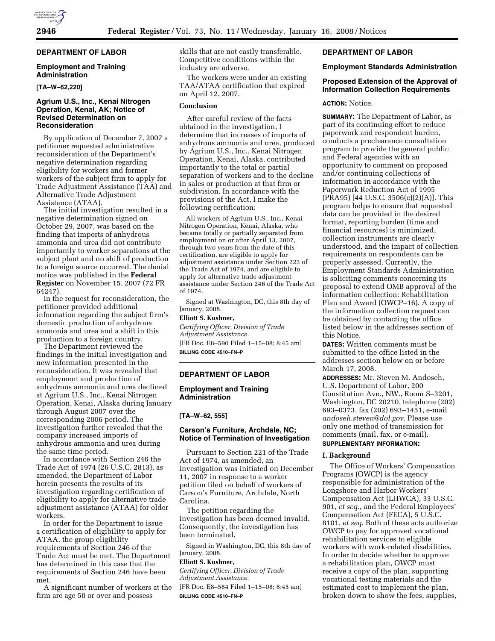## **DEPARTMENT OF LABOR**

### **Employment and Training Administration**

**[TA–W–62,220]** 

## **Agrium U.S., Inc., Kenai Nitrogen Operation, Kenai, AK; Notice of Revised Determination on Reconsideration**

By application of December 7, 2007 a petitioner requested administrative reconsideration of the Department's negative determination regarding eligibility for workers and former workers of the subject firm to apply for Trade Adjustment Assistance (TAA) and Alternative Trade Adjustment Assistance (ATAA).

The initial investigation resulted in a negative determination signed on October 29, 2007, was based on the finding that imports of anhydrous ammonia and urea did not contribute importantly to worker separations at the subject plant and no shift of production to a foreign source occurred. The denial notice was published in the **Federal Register** on November 15, 2007 (72 FR 64247).

In the request for reconsideration, the petitioner provided additional information regarding the subject firm's domestic production of anhydrous ammonia and urea and a shift in this production to a foreign country.

The Department reviewed the findings in the initial investigation and new information presented in the reconsideration. It was revealed that employment and production of anhydrous ammonia and urea declined at Agrium U.S., Inc., Kenai Nitrogen Operation, Kenai, Alaska during January through August 2007 over the corresponding 2006 period. The investigation further revealed that the company increased imports of anhydrous ammonia and urea during the same time period.

In accordance with Section 246 the Trade Act of 1974 (26 U.S.C. 2813), as amended, the Department of Labor herein presents the results of its investigation regarding certification of eligibility to apply for alternative trade adjustment assistance (ATAA) for older workers.

In order for the Department to issue a certification of eligibility to apply for ATAA, the group eligibility requirements of Section 246 of the Trade Act must be met. The Department has determined in this case that the requirements of Section 246 have been met.

A significant number of workers at the firm are age 50 or over and possess

skills that are not easily transferable. Competitive conditions within the industry are adverse.

The workers were under an existing TAA/ATAA certification that expired on April 12, 2007.

### **Conclusion**

After careful review of the facts obtained in the investigation, I determine that increases of imports of anhydrous ammonia and urea, produced by Agrium U.S., Inc., Kenai Nitrogen Operation, Kenai, Alaska, contributed importantly to the total or partial separation of workers and to the decline in sales or production at that firm or subdivision. In accordance with the provisions of the Act, I make the following certification:

All workers of Agrium U.S., Inc., Kenai Nitrogen Operation, Kenai, Alaska, who became totally or partially separated from employment on or after April 13, 2007, through two years from the date of this certification, are eligible to apply for adjustment assistance under Section 223 of the Trade Act of 1974, and are eligible to apply for alternative trade adjustment assistance under Section 246 of the Trade Act of 1974.

Signed at Washington, DC, this 8th day of January, 2008.

#### **Elliott S. Kushner,**

*Certifying Officer, Division of Trade Adjustment Assistance.*  [FR Doc. E8–590 Filed 1–15–08; 8:45 am] **BILLING CODE 4510–FN–P** 

# **DEPARTMENT OF LABOR**

## **Employment and Training Administration**

#### **[TA–W–62, 555]**

### **Carson's Furniture, Archdale, NC; Notice of Termination of Investigation**

Pursuant to Section 221 of the Trade Act of 1974, as amended, an investigation was initiated on December 11, 2007 in response to a worker petition filed on behalf of workers of Carson's Furniture, Archdale, North Carolina.

The petition regarding the investigation has been deemed invalid. Consequently, the investigation has been terminated.

Signed in Washington, DC, this 8th day of January, 2008.

# **Elliott S. Kushner,**

*Certifying Officer, Division of Trade Adjustment Assistance.* 

[FR Doc. E8–584 Filed 1–15–08; 8:45 am] **BILLING CODE 4510–FN–P** 

## **DEPARTMENT OF LABOR**

# **Employment Standards Administration**

## **Proposed Extension of the Approval of Information Collection Requirements**

#### **ACTION:** Notice.

**SUMMARY:** The Department of Labor, as part of its continuing effort to reduce paperwork and respondent burden, conducts a preclearance consultation program to provide the general public and Federal agencies with an opportunity to comment on proposed and/or continuing collections of information in accordance with the Paperwork Reduction Act of 1995 (PRA95) [44 U.S.C. 3506(c)(2)(A)]. This program helps to ensure that requested data can be provided in the desired format, reporting burden (time and financial resources) is minimized, collection instruments are clearly understood, and the impact of collection requirements on respondents can be properly assessed. Currently, the Employment Standards Administration is soliciting comments concerning its proposal to extend OMB approval of the information collection: Rehabilitation Plan and Award (OWCP–16). A copy of the information collection request can be obtained by contacting the office listed below in the addresses section of this Notice.

**DATES:** Written comments must be submitted to the office listed in the addresses section below on or before March 17, 2008.

**ADDRESSES:** Mr. Steven M. Andoseh, U.S. Department of Labor, 200 Constitution Ave., NW., Room S–3201, Washington, DC 20210, telephone (202) 693–0373, fax (202) 693–1451, e-mail *andoseh.steven@dol.gov.* Please use only one method of transmission for comments (mail, fax, or e-mail). **SUPPLEMENTARY INFORMATION:** 

# **I. Background**

The Office of Workers' Compensation Programs (OWCP) is the agency responsible for administration of the Longshore and Harbor Workers' Compensation Act (LHWCA), 33 U.S.C. 901, *et seq.*, and the Federal Employees' Compensation Act (FECA), 5 U.S.C. 8101, *et seq.* Both of these acts authorize OWCP to pay for approved vocational rehabilitation services to eligible workers with work-related disabilities. In order to decide whether to approve a rehabilitation plan, OWCP must receive a copy of the plan, supporting vocational testing materials and the estimated cost to implement the plan, broken down to show the fees, supplies,